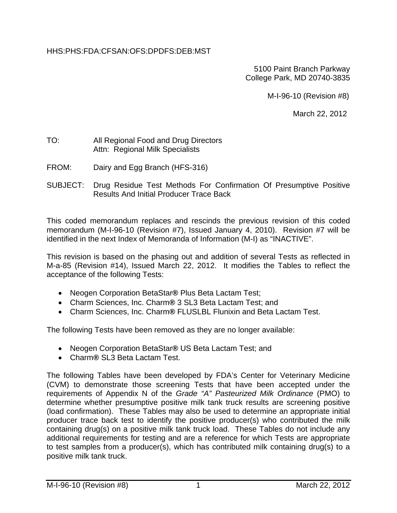## HHS:PHS:FDA:CFSAN:OFS:DPDFS:DEB:MST

5100 Paint Branch Parkway College Park, MD 20740-3835

M-I-96-10 (Revision #8)

March 22, 2012

## TO: All Regional Food and Drug Directors Attn: Regional Milk Specialists

- FROM: Dairy and Egg Branch (HFS-316)
- SUBJECT: Drug Residue Test Methods For Confirmation Of Presumptive Positive Results And Initial Producer Trace Back

This coded memorandum replaces and rescinds the previous revision of this coded memorandum (M-I-96-10 (Revision #7), Issued January 4, 2010). Revision #7 will be identified in the next Index of Memoranda of Information (M-I) as "INACTIVE".

This revision is based on the phasing out and addition of several Tests as reflected in M-a-85 (Revision #14), Issued March 22, 2012. It modifies the Tables to reflect the acceptance of the following Tests:

- Neogen Corporation BetaStar**®** Plus Beta Lactam Test;
- Charm Sciences, Inc. Charm**®** 3 SL3 Beta Lactam Test; and
- Charm Sciences, Inc. Charm**®** FLUSLBL Flunixin and Beta Lactam Test.

The following Tests have been removed as they are no longer available:

- Neogen Corporation BetaStar**®** US Beta Lactam Test; and
- Charm**®** SL3 Beta Lactam Test.

The following Tables have been developed by FDA's Center for Veterinary Medicine (CVM) to demonstrate those screening Tests that have been accepted under the requirements of Appendix N of the *Grade "A" Pasteurized Milk Ordinance* (PMO) to determine whether presumptive positive milk tank truck results are screening positive (load confirmation). These Tables may also be used to determine an appropriate initial producer trace back test to identify the positive producer(s) who contributed the milk containing drug(s) on a positive milk tank truck load. These Tables do not include any additional requirements for testing and are a reference for which Tests are appropriate to test samples from a producer(s), which has contributed milk containing drug(s) to a positive milk tank truck.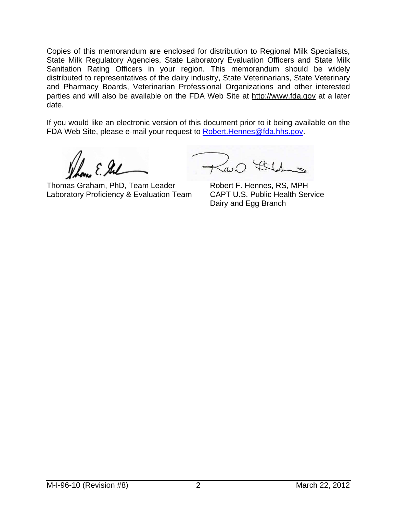Copies of this memorandum are enclosed for distribution to Regional Milk Specialists, State Milk Regulatory Agencies, State Laboratory Evaluation Officers and State Milk Sanitation Rating Officers in your region. This memorandum should be widely distributed to representatives of the dairy industry, State Veterinarians, State Veterinary and Pharmacy Boards, Veterinarian Professional Organizations and other interested parties and will also be available on the FDA Web Site at http://www.fda.gov at a later date.

If you would like an electronic version of this document prior to it being available on the FDA Web Site, please e-mail your request to Robert.Hennes@fda.hhs.gov.

 Thomas Graham, PhD, Team Leader Robert F. Hennes, RS, MPH Laboratory Proficiency & Evaluation Team CAPT U.S. Public Health Service

Dairy and Egg Branch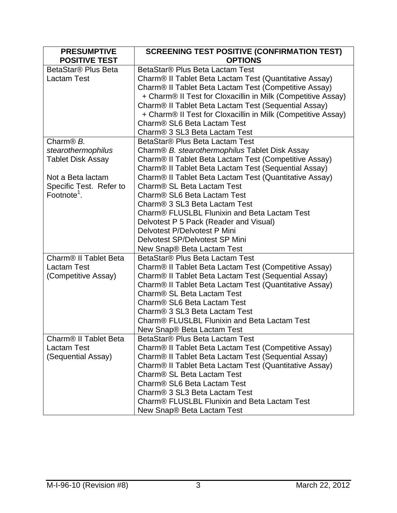| <b>PRESUMPTIVE</b><br><b>POSITIVE TEST</b> | <b>SCREENING TEST POSITIVE (CONFIRMATION TEST)</b><br><b>OPTIONS</b>                                  |
|--------------------------------------------|-------------------------------------------------------------------------------------------------------|
| BetaStar® Plus Beta                        | BetaStar® Plus Beta Lactam Test                                                                       |
| <b>Lactam Test</b>                         | Charm® II Tablet Beta Lactam Test (Quantitative Assay)                                                |
|                                            | Charm® II Tablet Beta Lactam Test (Competitive Assay)                                                 |
|                                            | + Charm® II Test for Cloxacillin in Milk (Competitive Assay)                                          |
|                                            | Charm® II Tablet Beta Lactam Test (Sequential Assay)                                                  |
|                                            | + Charm® II Test for Cloxacillin in Milk (Competitive Assay)                                          |
|                                            | Charm <sup>®</sup> SL6 Beta Lactam Test                                                               |
|                                            | Charm <sup>®</sup> 3 SL3 Beta Lactam Test                                                             |
| Charm <sup>®</sup> $B$ .                   | BetaStar® Plus Beta Lactam Test                                                                       |
| stearothermophilus                         | Charm <sup>®</sup> B. stearothermophilus Tablet Disk Assay                                            |
| <b>Tablet Disk Assay</b>                   | Charm® II Tablet Beta Lactam Test (Competitive Assay)                                                 |
|                                            | Charm® II Tablet Beta Lactam Test (Sequential Assay)                                                  |
| Not a Beta lactam                          | Charm® II Tablet Beta Lactam Test (Quantitative Assay)                                                |
| Specific Test. Refer to                    | Charm® SL Beta Lactam Test                                                                            |
| Footnote <sup>1</sup> .                    | Charm® SL6 Beta Lactam Test                                                                           |
|                                            | Charm <sup>®</sup> 3 SL3 Beta Lactam Test                                                             |
|                                            | Charm <sup>®</sup> FLUSLBL Flunixin and Beta Lactam Test                                              |
|                                            | Delvotest P 5 Pack (Reader and Visual)                                                                |
|                                            | Delvotest P/Delvotest P Mini                                                                          |
|                                            | Delvotest SP/Delvotest SP Mini                                                                        |
|                                            | New Snap® Beta Lactam Test                                                                            |
| Charm <sup>®</sup> II Tablet Beta          | BetaStar® Plus Beta Lactam Test                                                                       |
| <b>Lactam Test</b>                         | Charm® II Tablet Beta Lactam Test (Competitive Assay)                                                 |
| (Competitive Assay)                        | Charm® II Tablet Beta Lactam Test (Sequential Assay)                                                  |
|                                            | Charm® II Tablet Beta Lactam Test (Quantitative Assay)                                                |
|                                            | Charm <sup>®</sup> SL Beta Lactam Test                                                                |
|                                            | Charm <sup>®</sup> SL6 Beta Lactam Test                                                               |
|                                            | Charm <sup>®</sup> 3 SL3 Beta Lactam Test                                                             |
|                                            | Charm <sup>®</sup> FLUSLBL Flunixin and Beta Lactam Test                                              |
|                                            | New Snap® Beta Lactam Test                                                                            |
| Charm <sup>®</sup> II Tablet Beta          | BetaStar® Plus Beta Lactam Test                                                                       |
| <b>Lactam Test</b>                         | Charm® II Tablet Beta Lactam Test (Competitive Assay)                                                 |
| (Sequential Assay)                         | Charm® II Tablet Beta Lactam Test (Sequential Assay)                                                  |
|                                            | Charm® II Tablet Beta Lactam Test (Quantitative Assay)                                                |
|                                            | Charm <sup>®</sup> SL Beta Lactam Test<br>Charm <sup>®</sup> SL6 Beta Lactam Test                     |
|                                            |                                                                                                       |
|                                            | Charm <sup>®</sup> 3 SL3 Beta Lactam Test<br>Charm <sup>®</sup> FLUSLBL Flunixin and Beta Lactam Test |
|                                            |                                                                                                       |
|                                            | New Snap® Beta Lactam Test                                                                            |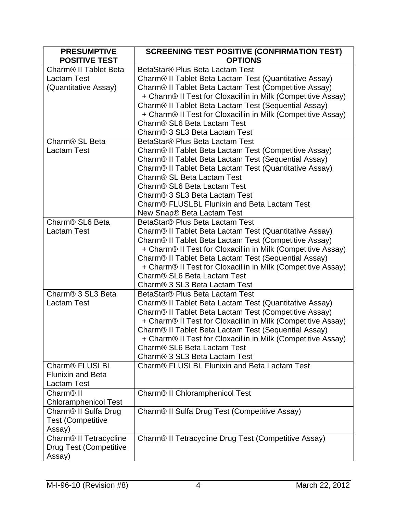| <b>PRESUMPTIVE</b>                 | <b>SCREENING TEST POSITIVE (CONFIRMATION TEST)</b>                                                                  |
|------------------------------------|---------------------------------------------------------------------------------------------------------------------|
| <b>POSITIVE TEST</b>               | <b>OPTIONS</b>                                                                                                      |
| Charm <sup>®</sup> II Tablet Beta  | BetaStar® Plus Beta Lactam Test                                                                                     |
| <b>Lactam Test</b>                 | Charm® II Tablet Beta Lactam Test (Quantitative Assay)                                                              |
| (Quantitative Assay)               | Charm® II Tablet Beta Lactam Test (Competitive Assay)                                                               |
|                                    | + Charm® II Test for Cloxacillin in Milk (Competitive Assay)                                                        |
|                                    | Charm® II Tablet Beta Lactam Test (Sequential Assay)                                                                |
|                                    | + Charm® II Test for Cloxacillin in Milk (Competitive Assay)                                                        |
|                                    | Charm <sup>®</sup> SL6 Beta Lactam Test                                                                             |
|                                    | Charm <sup>®</sup> 3 SL <sub>3</sub> Beta Lactam Test                                                               |
| Charm <sup>®</sup> SL Beta         | BetaStar® Plus Beta Lactam Test                                                                                     |
| <b>Lactam Test</b>                 | Charm® II Tablet Beta Lactam Test (Competitive Assay)                                                               |
|                                    | Charm® II Tablet Beta Lactam Test (Sequential Assay)                                                                |
|                                    | Charm® II Tablet Beta Lactam Test (Quantitative Assay)                                                              |
|                                    | Charm <sup>®</sup> SL Beta Lactam Test                                                                              |
|                                    | Charm <sup>®</sup> SL6 Beta Lactam Test                                                                             |
|                                    | Charm <sup>®</sup> 3 SL3 Beta Lactam Test                                                                           |
|                                    | Charm <sup>®</sup> FLUSLBL Flunixin and Beta Lactam Test                                                            |
|                                    | New Snap® Beta Lactam Test                                                                                          |
| Charm <sup>®</sup> SL6 Beta        | BetaStar® Plus Beta Lactam Test                                                                                     |
| <b>Lactam Test</b>                 | Charm® II Tablet Beta Lactam Test (Quantitative Assay)                                                              |
|                                    | Charm® II Tablet Beta Lactam Test (Competitive Assay)                                                               |
|                                    | + Charm® II Test for Cloxacillin in Milk (Competitive Assay)                                                        |
|                                    | Charm® II Tablet Beta Lactam Test (Sequential Assay)                                                                |
|                                    | + Charm® II Test for Cloxacillin in Milk (Competitive Assay)                                                        |
|                                    | Charm® SL6 Beta Lactam Test                                                                                         |
|                                    | Charm® 3 SL3 Beta Lactam Test                                                                                       |
| Charm <sup>®</sup> 3 SL3 Beta      | BetaStar® Plus Beta Lactam Test                                                                                     |
| <b>Lactam Test</b>                 | Charm® II Tablet Beta Lactam Test (Quantitative Assay)                                                              |
|                                    | Charm® II Tablet Beta Lactam Test (Competitive Assay)                                                               |
|                                    | + Charm® II Test for Cloxacillin in Milk (Competitive Assay)                                                        |
|                                    | Charm® II Tablet Beta Lactam Test (Sequential Assay)                                                                |
|                                    | + Charm <sup>®</sup> II Test for Cloxacillin in Milk (Competitive Assay)<br>Charm <sup>®</sup> SL6 Beta Lactam Test |
|                                    | Charm <sup>®</sup> 3 SL3 Beta Lactam Test                                                                           |
| Charm <sup>®</sup> FLUSLBL         | Charm® FLUSLBL Flunixin and Beta Lactam Test                                                                        |
| <b>Flunixin and Beta</b>           |                                                                                                                     |
| <b>Lactam Test</b>                 |                                                                                                                     |
| Charm <sup>®</sup> II              | Charm® II Chloramphenicol Test                                                                                      |
| <b>Chloramphenicol Test</b>        |                                                                                                                     |
| Charm <sup>®</sup> II Sulfa Drug   | Charm® II Sulfa Drug Test (Competitive Assay)                                                                       |
| <b>Test (Competitive</b>           |                                                                                                                     |
| Assay)                             |                                                                                                                     |
| Charm <sup>®</sup> II Tetracycline | Charm® II Tetracycline Drug Test (Competitive Assay)                                                                |
| Drug Test (Competitive             |                                                                                                                     |
| Assay)                             |                                                                                                                     |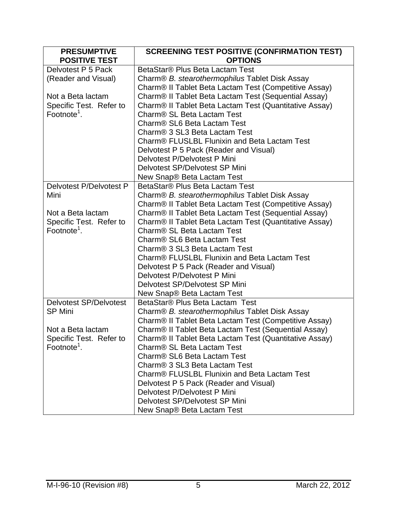| <b>PRESUMPTIVE</b><br><b>POSITIVE TEST</b> | <b>SCREENING TEST POSITIVE (CONFIRMATION TEST)</b><br><b>OPTIONS</b> |
|--------------------------------------------|----------------------------------------------------------------------|
| Delvotest P 5 Pack                         | BetaStar® Plus Beta Lactam Test                                      |
| (Reader and Visual)                        | Charm <sup>®</sup> B. stearothermophilus Tablet Disk Assay           |
|                                            | Charm® II Tablet Beta Lactam Test (Competitive Assay)                |
| Not a Beta lactam                          | Charm® II Tablet Beta Lactam Test (Sequential Assay)                 |
| Specific Test. Refer to                    | Charm® II Tablet Beta Lactam Test (Quantitative Assay)               |
| Footnote <sup>1</sup> .                    | Charm <sup>®</sup> SL Beta Lactam Test                               |
|                                            | Charm <sup>®</sup> SL6 Beta Lactam Test                              |
|                                            | Charm <sup>®</sup> 3 SL3 Beta Lactam Test                            |
|                                            | Charm® FLUSLBL Flunixin and Beta Lactam Test                         |
|                                            | Delvotest P 5 Pack (Reader and Visual)                               |
|                                            | Delvotest P/Delvotest P Mini                                         |
|                                            | Delvotest SP/Delvotest SP Mini                                       |
|                                            | New Snap® Beta Lactam Test                                           |
| Delvotest P/Delvotest P                    | BetaStar® Plus Beta Lactam Test                                      |
| Mini                                       | Charm <sup>®</sup> B. stearothermophilus Tablet Disk Assay           |
|                                            | Charm® II Tablet Beta Lactam Test (Competitive Assay)                |
| Not a Beta lactam                          | Charm® II Tablet Beta Lactam Test (Sequential Assay)                 |
| Specific Test. Refer to                    | Charm® II Tablet Beta Lactam Test (Quantitative Assay)               |
| Footnote <sup>1</sup> .                    | Charm <sup>®</sup> SL Beta Lactam Test                               |
|                                            | Charm <sup>®</sup> SL6 Beta Lactam Test                              |
|                                            | Charm® 3 SL3 Beta Lactam Test                                        |
|                                            | Charm® FLUSLBL Flunixin and Beta Lactam Test                         |
|                                            | Delvotest P 5 Pack (Reader and Visual)                               |
|                                            | Delvotest P/Delvotest P Mini                                         |
|                                            | Delvotest SP/Delvotest SP Mini                                       |
|                                            | New Snap® Beta Lactam Test                                           |
| <b>Delvotest SP/Delvotest</b>              | BetaStar® Plus Beta Lactam Test                                      |
| <b>SP Mini</b>                             | Charm <sup>®</sup> B. stearothermophilus Tablet Disk Assay           |
|                                            | Charm® II Tablet Beta Lactam Test (Competitive Assay)                |
| Not a Beta lactam                          | Charm® II Tablet Beta Lactam Test (Sequential Assay)                 |
| Specific Test. Refer to                    | Charm® II Tablet Beta Lactam Test (Quantitative Assay)               |
| Footnote <sup>1</sup> .                    | Charm <sup>®</sup> SL Beta Lactam Test                               |
|                                            | Charm <sup>®</sup> SL6 Beta Lactam Test                              |
|                                            | Charm <sup>®</sup> 3 SL3 Beta Lactam Test                            |
|                                            | Charm <sup>®</sup> FLUSLBL Flunixin and Beta Lactam Test             |
|                                            | Delvotest P 5 Pack (Reader and Visual)                               |
|                                            | Delvotest P/Delvotest P Mini                                         |
|                                            | Delvotest SP/Delvotest SP Mini                                       |
|                                            | New Snap <sup>®</sup> Beta Lactam Test                               |